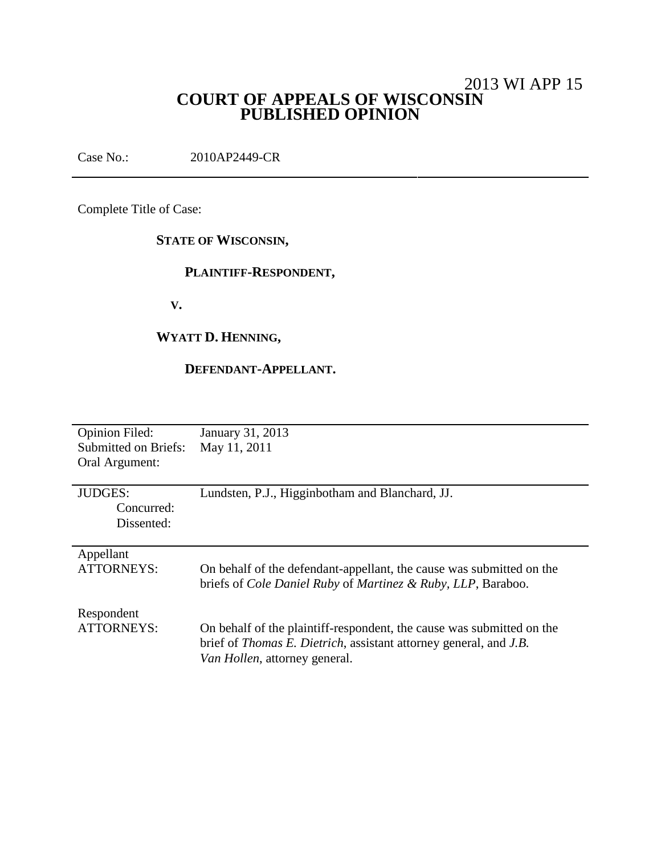# 2013 WI APP 15 **COURT OF APPEALS OF WISCONSIN PUBLISHED OPINION**

Case No.: 2010AP2449-CR

Complete Title of Case:

# **STATE OF WISCONSIN,**

# **PLAINTIFF-RESPONDENT,**

**V.**

# **WYATT D. HENNING,**

### **DEFENDANT-APPELLANT.**

| <b>Opinion Filed:</b>       | January 31, 2013                                                                        |
|-----------------------------|-----------------------------------------------------------------------------------------|
| <b>Submitted on Briefs:</b> | May 11, 2011                                                                            |
| Oral Argument:              |                                                                                         |
|                             |                                                                                         |
| <b>JUDGES:</b>              |                                                                                         |
|                             | Lundsten, P.J., Higginbotham and Blanchard, JJ.                                         |
| Concurred:                  |                                                                                         |
| Dissented:                  |                                                                                         |
|                             |                                                                                         |
| Appellant                   |                                                                                         |
| <b>ATTORNEYS:</b>           | On behalf of the defendant-appellant, the cause was submitted on the                    |
|                             | briefs of <i>Cole Daniel Ruby</i> of <i>Martinez &amp; Ruby</i> , <i>LLP</i> , Baraboo. |
|                             |                                                                                         |
|                             |                                                                                         |
| Respondent                  |                                                                                         |
| <b>ATTORNEYS:</b>           | On behalf of the plaintiff-respondent, the cause was submitted on the                   |
|                             | brief of <i>Thomas E. Dietrich</i> , assistant attorney general, and <i>J.B.</i>        |
|                             | Van Hollen, attorney general.                                                           |
|                             |                                                                                         |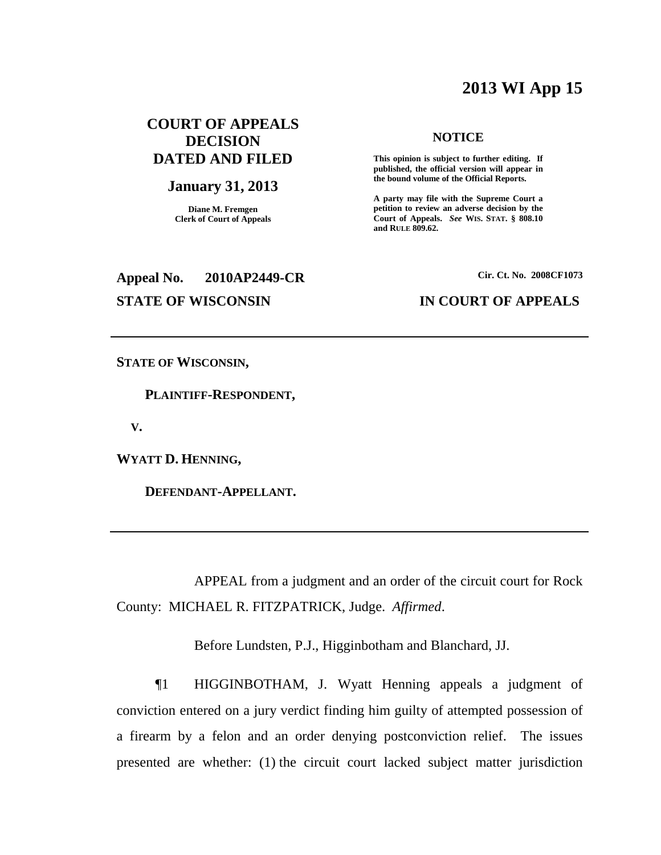# **2013 WI App 15**

## **COURT OF APPEALS DECISION DATED AND FILED**

### **January 31, 2013**

**Diane M. Fremgen Clerk of Court of Appeals**

# **Appeal No. 2010AP2449-CR Cir. Ct. No. 2008CF1073**

### **NOTICE**

**This opinion is subject to further editing. If published, the official version will appear in the bound volume of the Official Reports.**

**A party may file with the Supreme Court a petition to review an adverse decision by the Court of Appeals.** *See* **WIS. STAT. § 808.10 and RULE 809.62.**

### **STATE OF WISCONSIN IN COURT OF APPEALS**

**STATE OF WISCONSIN,**

**PLAINTIFF-RESPONDENT,**

**V.**

**WYATT D. HENNING,**

**DEFENDANT-APPELLANT.**

APPEAL from a judgment and an order of the circuit court for Rock County: MICHAEL R. FITZPATRICK, Judge. *Affirmed*.

Before Lundsten, P.J., Higginbotham and Blanchard, JJ.

¶1 HIGGINBOTHAM, J. Wyatt Henning appeals a judgment of conviction entered on a jury verdict finding him guilty of attempted possession of a firearm by a felon and an order denying postconviction relief. The issues presented are whether: (1) the circuit court lacked subject matter jurisdiction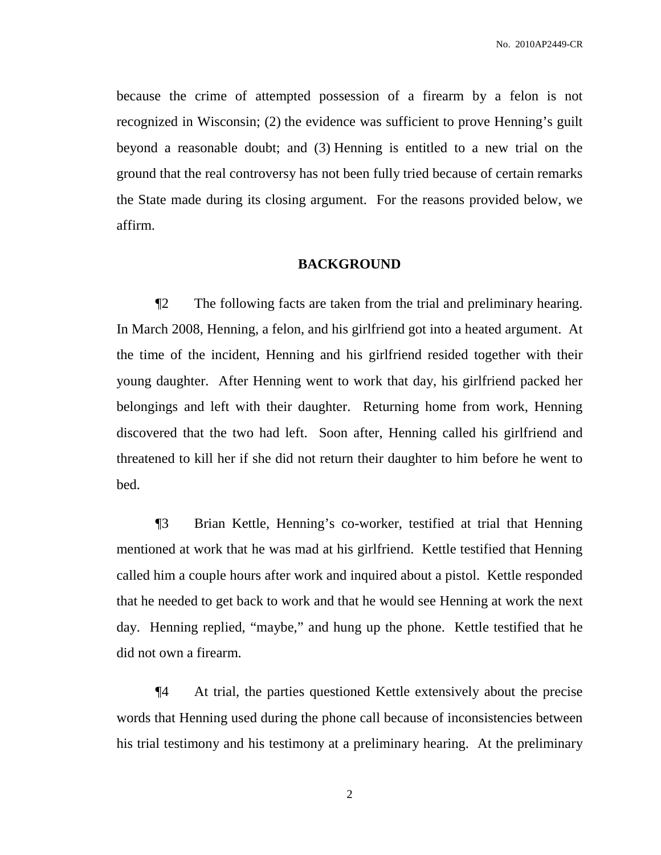because the crime of attempted possession of a firearm by a felon is not recognized in Wisconsin; (2) the evidence was sufficient to prove Henning's guilt beyond a reasonable doubt; and (3) Henning is entitled to a new trial on the ground that the real controversy has not been fully tried because of certain remarks the State made during its closing argument. For the reasons provided below, we affirm.

### **BACKGROUND**

¶2 The following facts are taken from the trial and preliminary hearing. In March 2008, Henning, a felon, and his girlfriend got into a heated argument. At the time of the incident, Henning and his girlfriend resided together with their young daughter. After Henning went to work that day, his girlfriend packed her belongings and left with their daughter. Returning home from work, Henning discovered that the two had left. Soon after, Henning called his girlfriend and threatened to kill her if she did not return their daughter to him before he went to bed.

¶3 Brian Kettle, Henning's co-worker, testified at trial that Henning mentioned at work that he was mad at his girlfriend. Kettle testified that Henning called him a couple hours after work and inquired about a pistol. Kettle responded that he needed to get back to work and that he would see Henning at work the next day. Henning replied, "maybe," and hung up the phone. Kettle testified that he did not own a firearm.

¶4 At trial, the parties questioned Kettle extensively about the precise words that Henning used during the phone call because of inconsistencies between his trial testimony and his testimony at a preliminary hearing. At the preliminary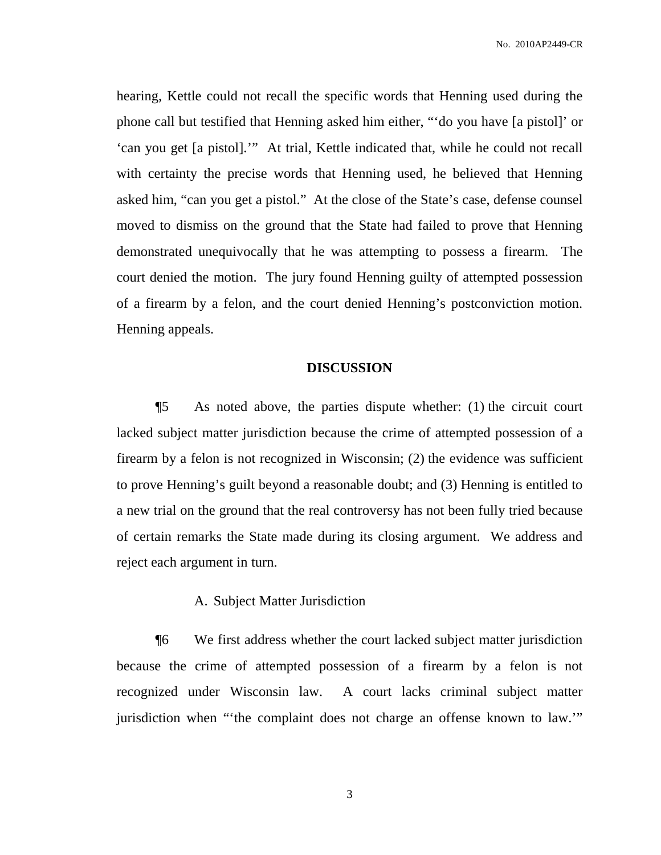hearing, Kettle could not recall the specific words that Henning used during the phone call but testified that Henning asked him either, "'do you have [a pistol]' or 'can you get [a pistol].'" At trial, Kettle indicated that, while he could not recall with certainty the precise words that Henning used, he believed that Henning asked him, "can you get a pistol." At the close of the State's case, defense counsel moved to dismiss on the ground that the State had failed to prove that Henning demonstrated unequivocally that he was attempting to possess a firearm. The court denied the motion. The jury found Henning guilty of attempted possession of a firearm by a felon, and the court denied Henning's postconviction motion. Henning appeals.

### **DISCUSSION**

¶5 As noted above, the parties dispute whether: (1) the circuit court lacked subject matter jurisdiction because the crime of attempted possession of a firearm by a felon is not recognized in Wisconsin; (2) the evidence was sufficient to prove Henning's guilt beyond a reasonable doubt; and (3) Henning is entitled to a new trial on the ground that the real controversy has not been fully tried because of certain remarks the State made during its closing argument. We address and reject each argument in turn.

### A. Subject Matter Jurisdiction

¶6 We first address whether the court lacked subject matter jurisdiction because the crime of attempted possession of a firearm by a felon is not recognized under Wisconsin law. A court lacks criminal subject matter jurisdiction when "'the complaint does not charge an offense known to law.'"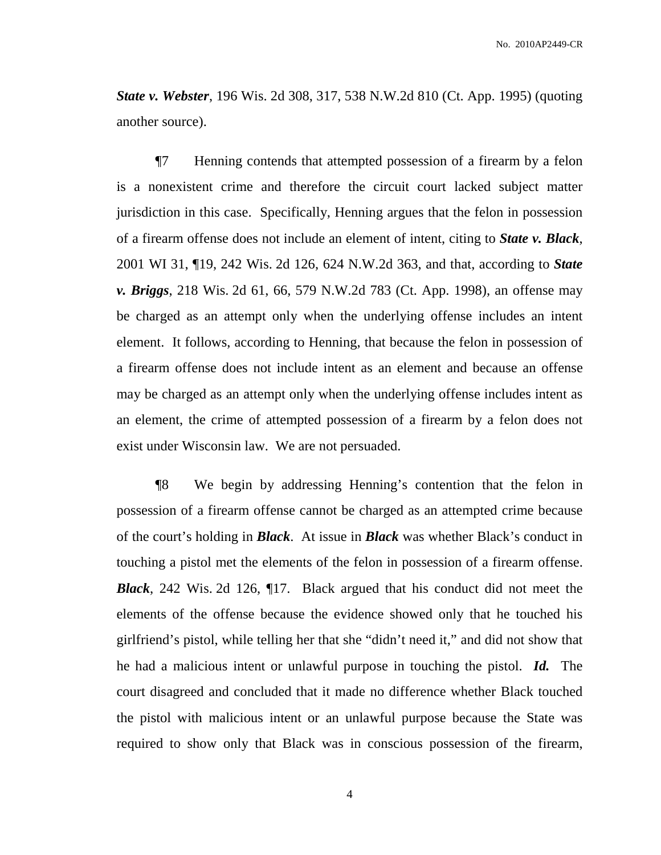*State v. Webster*, 196 Wis. 2d 308, 317, 538 N.W.2d 810 (Ct. App. 1995) (quoting another source).

¶7 Henning contends that attempted possession of a firearm by a felon is a nonexistent crime and therefore the circuit court lacked subject matter jurisdiction in this case. Specifically, Henning argues that the felon in possession of a firearm offense does not include an element of intent, citing to *State v. Black*, 2001 WI 31, ¶19, 242 Wis. 2d 126, 624 N.W.2d 363, and that, according to *State v. Briggs*, 218 Wis. 2d 61, 66, 579 N.W.2d 783 (Ct. App. 1998), an offense may be charged as an attempt only when the underlying offense includes an intent element. It follows, according to Henning, that because the felon in possession of a firearm offense does not include intent as an element and because an offense may be charged as an attempt only when the underlying offense includes intent as an element, the crime of attempted possession of a firearm by a felon does not exist under Wisconsin law. We are not persuaded.

¶8 We begin by addressing Henning's contention that the felon in possession of a firearm offense cannot be charged as an attempted crime because of the court's holding in *Black*. At issue in *Black* was whether Black's conduct in touching a pistol met the elements of the felon in possession of a firearm offense. *Black*, 242 Wis. 2d 126, ¶17. Black argued that his conduct did not meet the elements of the offense because the evidence showed only that he touched his girlfriend's pistol, while telling her that she "didn't need it," and did not show that he had a malicious intent or unlawful purpose in touching the pistol. *Id.* The court disagreed and concluded that it made no difference whether Black touched the pistol with malicious intent or an unlawful purpose because the State was required to show only that Black was in conscious possession of the firearm,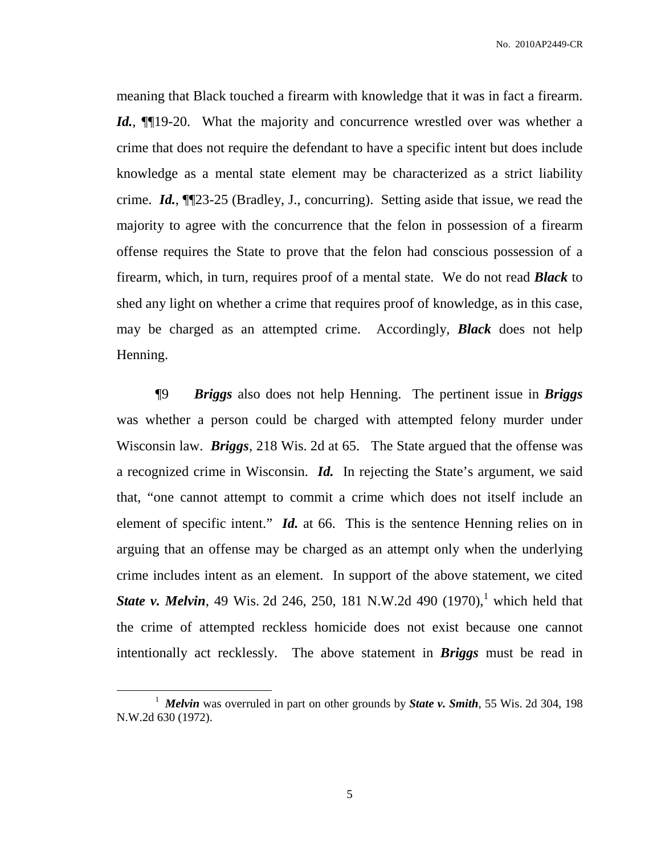meaning that Black touched a firearm with knowledge that it was in fact a firearm. Id., **[10.41] IDE** 19-20. What the majority and concurrence wrestled over was whether a crime that does not require the defendant to have a specific intent but does include knowledge as a mental state element may be characterized as a strict liability crime. *Id.*, ¶¶23-25 (Bradley, J., concurring). Setting aside that issue, we read the majority to agree with the concurrence that the felon in possession of a firearm offense requires the State to prove that the felon had conscious possession of a firearm, which, in turn, requires proof of a mental state. We do not read *Black* to shed any light on whether a crime that requires proof of knowledge, as in this case, may be charged as an attempted crime. Accordingly, *Black* does not help Henning.

¶9 *Briggs* also does not help Henning. The pertinent issue in *Briggs* was whether a person could be charged with attempted felony murder under Wisconsin law. *Briggs*, 218 Wis. 2d at 65. The State argued that the offense was a recognized crime in Wisconsin. *Id.* In rejecting the State's argument, we said that, "one cannot attempt to commit a crime which does not itself include an element of specific intent." *Id.* at 66. This is the sentence Henning relies on in arguing that an offense may be charged as an attempt only when the underlying crime includes intent as an element. In support of the above statement, we cited *State v. Melvin*, 49 Wis. 2d 246, 250, 181 N.W.2d 490 (1970), 1 which held that the crime of attempted reckless homicide does not exist because one cannot intentionally act recklessly. The above statement in *Briggs* must be read in

<sup>1</sup> *Melvin* was overruled in part on other grounds by *State v. Smith*, 55 Wis. 2d 304, 198 N.W.2d 630 (1972).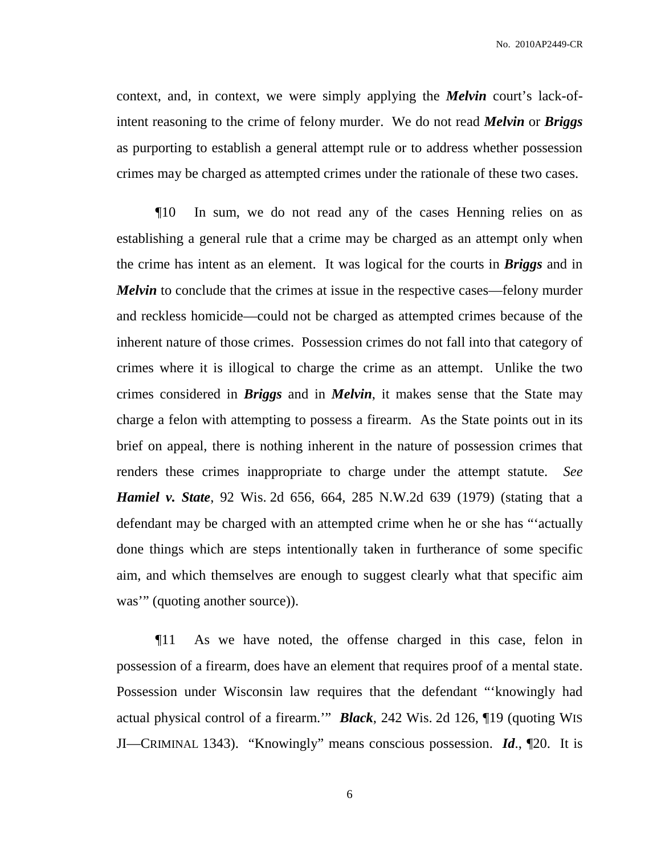context, and, in context, we were simply applying the *Melvin* court's lack-ofintent reasoning to the crime of felony murder. We do not read *Melvin* or *Briggs* as purporting to establish a general attempt rule or to address whether possession crimes may be charged as attempted crimes under the rationale of these two cases.

¶10 In sum, we do not read any of the cases Henning relies on as establishing a general rule that a crime may be charged as an attempt only when the crime has intent as an element. It was logical for the courts in *Briggs* and in *Melvin* to conclude that the crimes at issue in the respective cases—felony murder and reckless homicide—could not be charged as attempted crimes because of the inherent nature of those crimes. Possession crimes do not fall into that category of crimes where it is illogical to charge the crime as an attempt. Unlike the two crimes considered in *Briggs* and in *Melvin*, it makes sense that the State may charge a felon with attempting to possess a firearm. As the State points out in its brief on appeal, there is nothing inherent in the nature of possession crimes that renders these crimes inappropriate to charge under the attempt statute. *See Hamiel v. State*, 92 Wis. 2d 656, 664, 285 N.W.2d 639 (1979) (stating that a defendant may be charged with an attempted crime when he or she has "'actually done things which are steps intentionally taken in furtherance of some specific aim, and which themselves are enough to suggest clearly what that specific aim was'" (quoting another source)).

¶11 As we have noted, the offense charged in this case, felon in possession of a firearm, does have an element that requires proof of a mental state. Possession under Wisconsin law requires that the defendant "'knowingly had actual physical control of a firearm.'" *Black*, 242 Wis. 2d 126, ¶19 (quoting WIS JI—CRIMINAL 1343). "Knowingly" means conscious possession. *Id*., ¶20. It is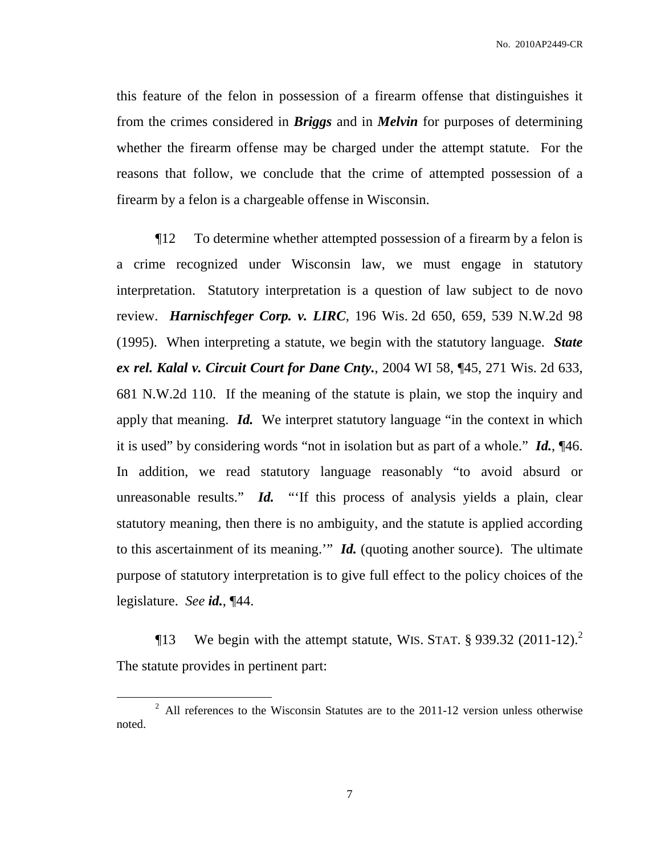this feature of the felon in possession of a firearm offense that distinguishes it from the crimes considered in *Briggs* and in *Melvin* for purposes of determining whether the firearm offense may be charged under the attempt statute. For the reasons that follow, we conclude that the crime of attempted possession of a firearm by a felon is a chargeable offense in Wisconsin.

¶12 To determine whether attempted possession of a firearm by a felon is a crime recognized under Wisconsin law, we must engage in statutory interpretation. Statutory interpretation is a question of law subject to de novo review. *Harnischfeger Corp. v. LIRC*, 196 Wis. 2d 650, 659, 539 N.W.2d 98 (1995). When interpreting a statute, we begin with the statutory language. *State ex rel. Kalal v. Circuit Court for Dane Cnty.*, 2004 WI 58, ¶45, 271 Wis. 2d 633, 681 N.W.2d 110. If the meaning of the statute is plain, we stop the inquiry and apply that meaning. *Id.* We interpret statutory language "in the context in which it is used" by considering words "not in isolation but as part of a whole." *Id.*, ¶46. In addition, we read statutory language reasonably "to avoid absurd or unreasonable results." *Id.* "If this process of analysis yields a plain, clear statutory meaning, then there is no ambiguity, and the statute is applied according to this ascertainment of its meaning.'" *Id.* (quoting another source). The ultimate purpose of statutory interpretation is to give full effect to the policy choices of the legislature. *See id.*, ¶44.

**The Set 13** We begin with the attempt statute, WIS. STAT.  $\S$  939.32 (2011-12).<sup>2</sup> The statute provides in pertinent part:

<sup>&</sup>lt;sup>2</sup> All references to the Wisconsin Statutes are to the 2011-12 version unless otherwise noted.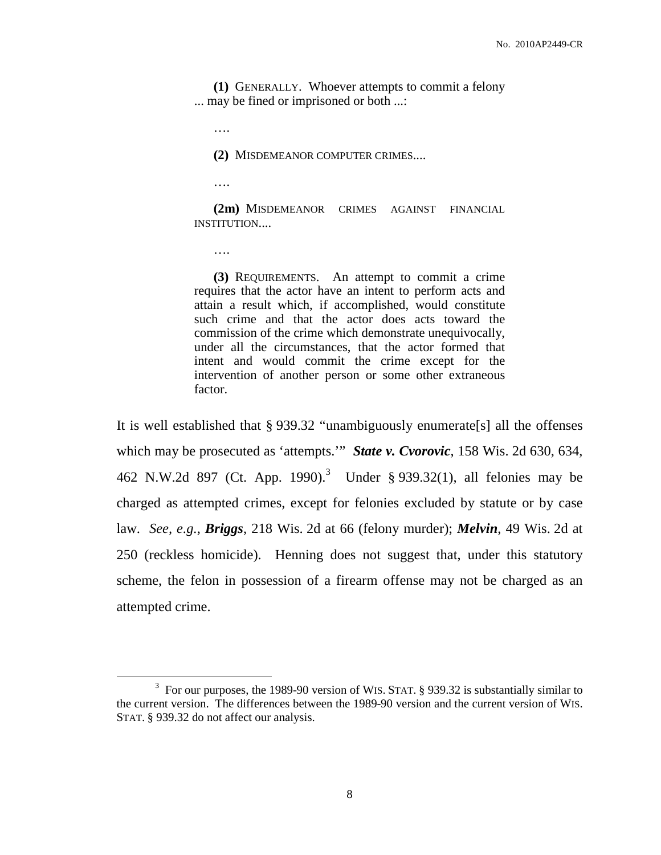**(1)** GENERALLY. Whoever attempts to commit a felony ... may be fined or imprisoned or both ...:

….

**(2)** MISDEMEANOR COMPUTER CRIMES....

….

**(2m)** MISDEMEANOR CRIMES AGAINST FINANCIAL INSTITUTION....

….

**(3)** REQUIREMENTS. An attempt to commit a crime requires that the actor have an intent to perform acts and attain a result which, if accomplished, would constitute such crime and that the actor does acts toward the commission of the crime which demonstrate unequivocally, under all the circumstances, that the actor formed that intent and would commit the crime except for the intervention of another person or some other extraneous factor.

It is well established that § 939.32 "unambiguously enumerate[s] all the offenses which may be prosecuted as 'attempts.'" *State v. Cvorovic*, 158 Wis. 2d 630, 634, 462 N.W.2d 897 (Ct. App. 1990). <sup>3</sup> Under § 939.32(1), all felonies may be charged as attempted crimes, except for felonies excluded by statute or by case law. *See, e.g., Briggs*, 218 Wis. 2d at 66 (felony murder); *Melvin*, 49 Wis. 2d at 250 (reckless homicide). Henning does not suggest that, under this statutory scheme, the felon in possession of a firearm offense may not be charged as an attempted crime.

 $3$  For our purposes, the 1989-90 version of WIS. STAT. § 939.32 is substantially similar to the current version. The differences between the 1989-90 version and the current version of WIS. STAT. § 939.32 do not affect our analysis.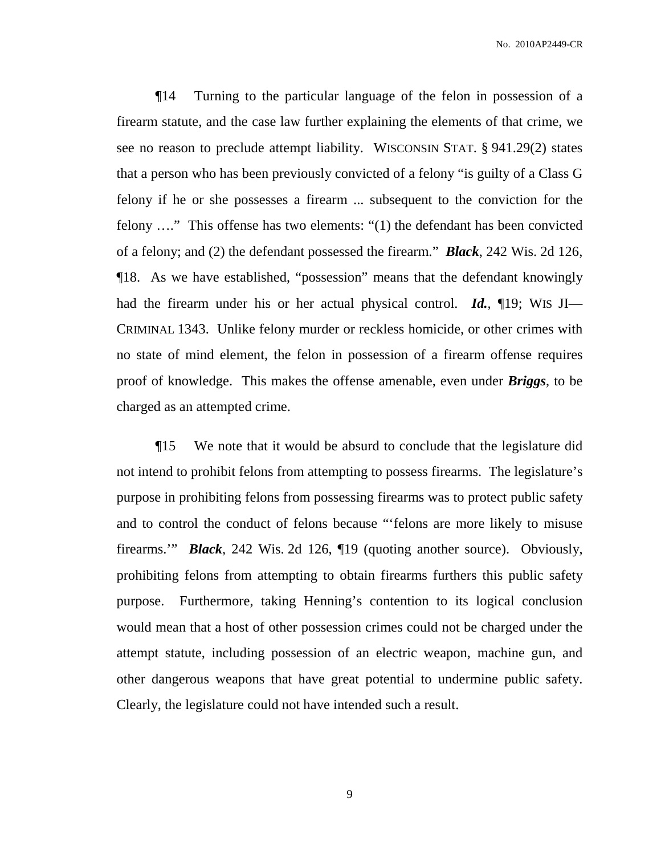¶14 Turning to the particular language of the felon in possession of a firearm statute, and the case law further explaining the elements of that crime, we see no reason to preclude attempt liability. WISCONSIN STAT. § 941.29(2) states that a person who has been previously convicted of a felony "is guilty of a Class G felony if he or she possesses a firearm ... subsequent to the conviction for the felony …." This offense has two elements: "(1) the defendant has been convicted of a felony; and (2) the defendant possessed the firearm." *Black*, 242 Wis. 2d 126, ¶18. As we have established, "possession" means that the defendant knowingly had the firearm under his or her actual physical control. *Id.*, ¶19; WIS JI— CRIMINAL 1343. Unlike felony murder or reckless homicide, or other crimes with no state of mind element, the felon in possession of a firearm offense requires proof of knowledge. This makes the offense amenable, even under *Briggs*, to be charged as an attempted crime.

¶15 We note that it would be absurd to conclude that the legislature did not intend to prohibit felons from attempting to possess firearms. The legislature's purpose in prohibiting felons from possessing firearms was to protect public safety and to control the conduct of felons because "'felons are more likely to misuse firearms.'" *Black*, 242 Wis. 2d 126, ¶19 (quoting another source). Obviously, prohibiting felons from attempting to obtain firearms furthers this public safety purpose. Furthermore, taking Henning's contention to its logical conclusion would mean that a host of other possession crimes could not be charged under the attempt statute, including possession of an electric weapon, machine gun, and other dangerous weapons that have great potential to undermine public safety. Clearly, the legislature could not have intended such a result.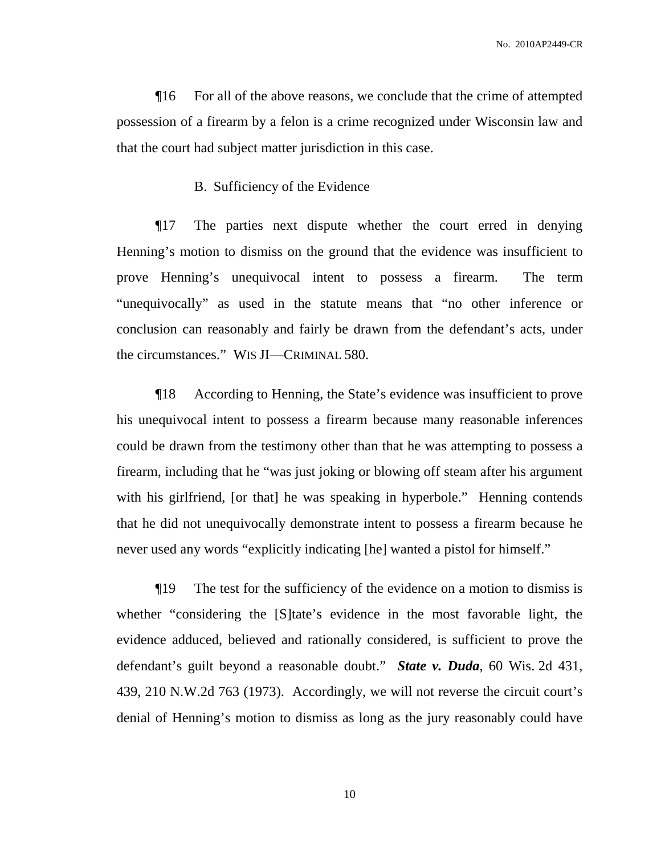¶16 For all of the above reasons, we conclude that the crime of attempted possession of a firearm by a felon is a crime recognized under Wisconsin law and that the court had subject matter jurisdiction in this case.

### B. Sufficiency of the Evidence

¶17 The parties next dispute whether the court erred in denying Henning's motion to dismiss on the ground that the evidence was insufficient to prove Henning's unequivocal intent to possess a firearm. The term "unequivocally" as used in the statute means that "no other inference or conclusion can reasonably and fairly be drawn from the defendant's acts, under the circumstances." WIS JI—CRIMINAL 580.

¶18 According to Henning, the State's evidence was insufficient to prove his unequivocal intent to possess a firearm because many reasonable inferences could be drawn from the testimony other than that he was attempting to possess a firearm, including that he "was just joking or blowing off steam after his argument with his girlfriend, [or that] he was speaking in hyperbole." Henning contends that he did not unequivocally demonstrate intent to possess a firearm because he never used any words "explicitly indicating [he] wanted a pistol for himself."

¶19 The test for the sufficiency of the evidence on a motion to dismiss is whether "considering the [S]tate's evidence in the most favorable light, the evidence adduced, believed and rationally considered, is sufficient to prove the defendant's guilt beyond a reasonable doubt." *State v. Duda*, 60 Wis. 2d 431, 439, 210 N.W.2d 763 (1973). Accordingly, we will not reverse the circuit court's denial of Henning's motion to dismiss as long as the jury reasonably could have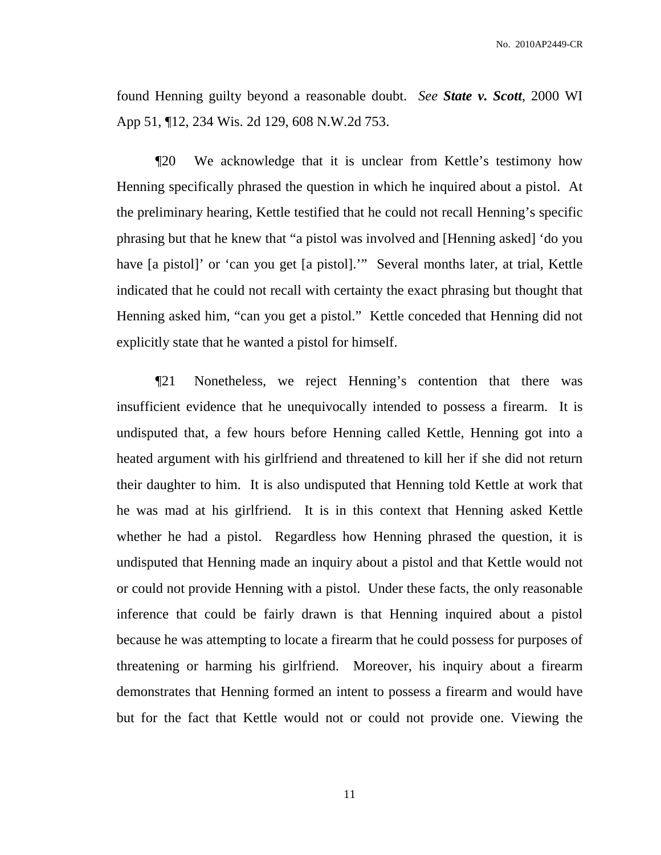found Henning guilty beyond a reasonable doubt. *See State v. Scott*, 2000 WI App 51, ¶12, 234 Wis. 2d 129, 608 N.W.2d 753.

¶20 We acknowledge that it is unclear from Kettle's testimony how Henning specifically phrased the question in which he inquired about a pistol. At the preliminary hearing, Kettle testified that he could not recall Henning's specific phrasing but that he knew that "a pistol was involved and [Henning asked] 'do you have [a pistol]' or 'can you get [a pistol].'" Several months later, at trial, Kettle indicated that he could not recall with certainty the exact phrasing but thought that Henning asked him, "can you get a pistol." Kettle conceded that Henning did not explicitly state that he wanted a pistol for himself.

¶21 Nonetheless, we reject Henning's contention that there was insufficient evidence that he unequivocally intended to possess a firearm. It is undisputed that, a few hours before Henning called Kettle, Henning got into a heated argument with his girlfriend and threatened to kill her if she did not return their daughter to him. It is also undisputed that Henning told Kettle at work that he was mad at his girlfriend. It is in this context that Henning asked Kettle whether he had a pistol. Regardless how Henning phrased the question, it is undisputed that Henning made an inquiry about a pistol and that Kettle would not or could not provide Henning with a pistol. Under these facts, the only reasonable inference that could be fairly drawn is that Henning inquired about a pistol because he was attempting to locate a firearm that he could possess for purposes of threatening or harming his girlfriend. Moreover, his inquiry about a firearm demonstrates that Henning formed an intent to possess a firearm and would have but for the fact that Kettle would not or could not provide one. Viewing the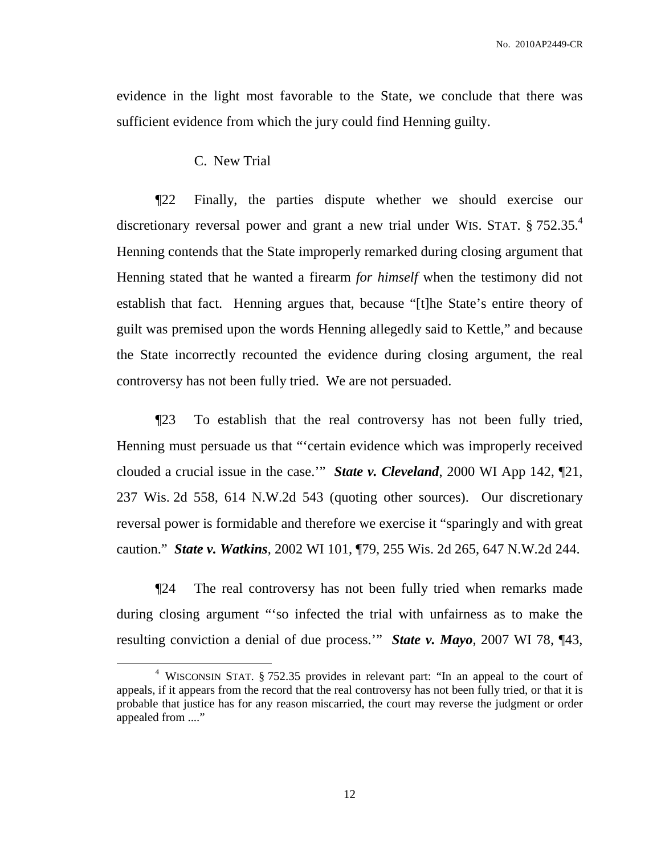evidence in the light most favorable to the State, we conclude that there was sufficient evidence from which the jury could find Henning guilty.

C. New Trial

¶22 Finally, the parties dispute whether we should exercise our discretionary reversal power and grant a new trial under WIS. STAT. § 752.35.<sup>4</sup> Henning contends that the State improperly remarked during closing argument that Henning stated that he wanted a firearm *for himself* when the testimony did not establish that fact. Henning argues that, because "[t]he State's entire theory of guilt was premised upon the words Henning allegedly said to Kettle," and because the State incorrectly recounted the evidence during closing argument, the real controversy has not been fully tried. We are not persuaded.

¶23 To establish that the real controversy has not been fully tried, Henning must persuade us that "'certain evidence which was improperly received clouded a crucial issue in the case.'" *State v. Cleveland*, 2000 WI App 142, ¶21, 237 Wis. 2d 558, 614 N.W.2d 543 (quoting other sources). Our discretionary reversal power is formidable and therefore we exercise it "sparingly and with great caution." *State v. Watkins*, 2002 WI 101, ¶79, 255 Wis. 2d 265, 647 N.W.2d 244.

¶24 The real controversy has not been fully tried when remarks made during closing argument "'so infected the trial with unfairness as to make the resulting conviction a denial of due process.'" *State v. Mayo*, 2007 WI 78, ¶43,

<sup>4</sup> WISCONSIN STAT. § 752.35 provides in relevant part: "In an appeal to the court of appeals, if it appears from the record that the real controversy has not been fully tried, or that it is probable that justice has for any reason miscarried, the court may reverse the judgment or order appealed from ...."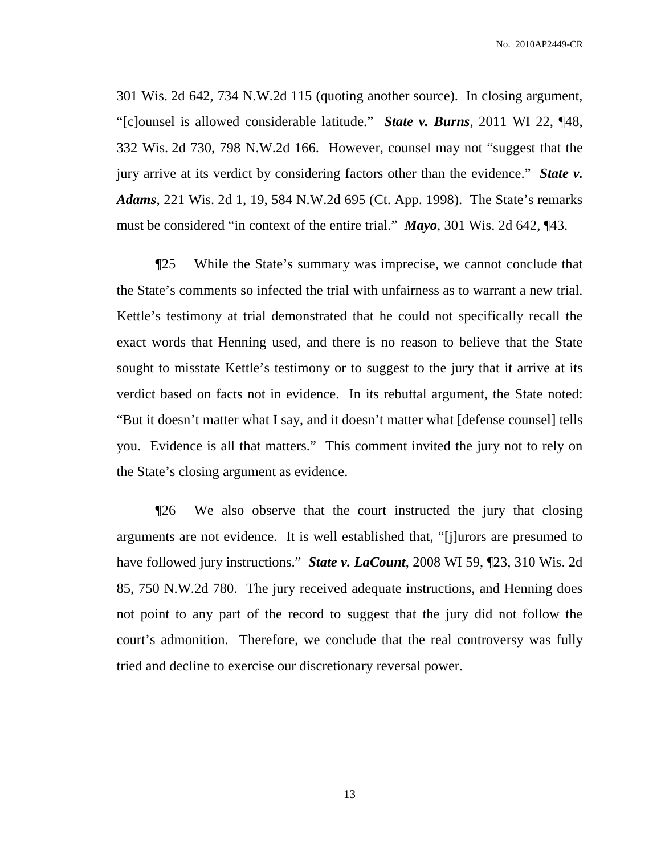301 Wis. 2d 642, 734 N.W.2d 115 (quoting another source). In closing argument, "[c]ounsel is allowed considerable latitude." *State v. Burns*, 2011 WI 22, ¶48, 332 Wis. 2d 730, 798 N.W.2d 166. However, counsel may not "suggest that the jury arrive at its verdict by considering factors other than the evidence." *State v. Adams*, 221 Wis. 2d 1, 19, 584 N.W.2d 695 (Ct. App. 1998). The State's remarks must be considered "in context of the entire trial." *Mayo*, 301 Wis. 2d 642, ¶43.

¶25 While the State's summary was imprecise, we cannot conclude that the State's comments so infected the trial with unfairness as to warrant a new trial. Kettle's testimony at trial demonstrated that he could not specifically recall the exact words that Henning used, and there is no reason to believe that the State sought to misstate Kettle's testimony or to suggest to the jury that it arrive at its verdict based on facts not in evidence. In its rebuttal argument, the State noted: "But it doesn't matter what I say, and it doesn't matter what [defense counsel] tells you. Evidence is all that matters." This comment invited the jury not to rely on the State's closing argument as evidence.

¶26 We also observe that the court instructed the jury that closing arguments are not evidence. It is well established that, "[j]urors are presumed to have followed jury instructions." *State v. LaCount*, 2008 WI 59, ¶23, 310 Wis. 2d 85, 750 N.W.2d 780. The jury received adequate instructions, and Henning does not point to any part of the record to suggest that the jury did not follow the court's admonition. Therefore, we conclude that the real controversy was fully tried and decline to exercise our discretionary reversal power.